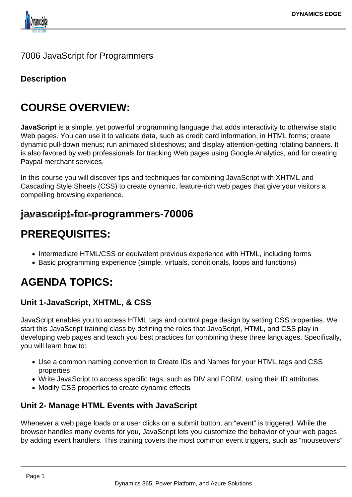

### 7006 JavaScript for Programmers

## **Description**

# **COURSE OVERVIEW:**

**JavaScript** is a simple, yet powerful programming language that adds interactivity to otherwise static Web pages. You can use it to validate data, such as credit card information, in HTML forms; create dynamic pull-down menus; run animated slideshows; and display attention-getting rotating banners. It is also favored by web professionals for tracking Web pages using Google Analytics, and for creating Paypal merchant services.

In this course you will discover tips and techniques for combining JavaScript with XHTML and Cascading Style Sheets (CSS) to create dynamic, feature-rich web pages that give your visitors a compelling browsing experience.

# **javascript-for-programmers-70006 Image not found or type unknown**

# **PREREQUISITES:**

- Intermediate HTML/CSS or equivalent previous experience with HTML, including forms
- Basic programming experience (simple, virtuals, conditionals, loops and functions)

# **AGENDA TOPICS:**

## **Unit 1-JavaScript, XHTML, & CSS**

JavaScript enables you to access HTML tags and control page design by setting CSS properties. We start this JavaScript training class by defining the roles that JavaScript, HTML, and CSS play in developing web pages and teach you best practices for combining these three languages. Specifically, you will learn how to:

- Use a common naming convention to Create IDs and Names for your HTML tags and CSS properties
- Write JavaScript to access specific tags, such as DIV and FORM, using their ID attributes
- Modify CSS properties to create dynamic effects

## **Unit 2- Manage HTML Events with JavaScript**

Whenever a web page loads or a user clicks on a submit button, an "event" is triggered. While the browser handles many events for you, JavaScript lets you customize the behavior of your web pages by adding event handlers. This training covers the most common event triggers, such as "mouseovers"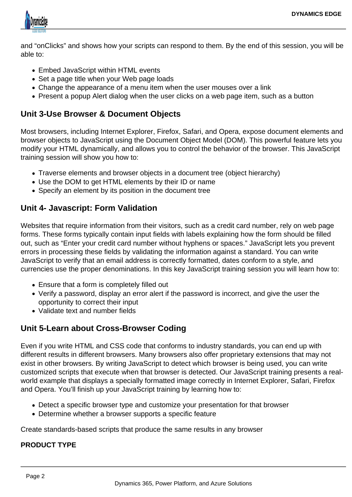

and "onClicks" and shows how your scripts can respond to them. By the end of this session, you will be able to:

- Embed JavaScript within HTML events
- Set a page title when your Web page loads
- Change the appearance of a menu item when the user mouses over a link
- Present a popup Alert dialog when the user clicks on a web page item, such as a button

#### **Unit 3-Use Browser & Document Objects**

Most browsers, including Internet Explorer, Firefox, Safari, and Opera, expose document elements and browser objects to JavaScript using the Document Object Model (DOM). This powerful feature lets you modify your HTML dynamically, and allows you to control the behavior of the browser. This JavaScript training session will show you how to:

- Traverse elements and browser objects in a document tree (object hierarchy)
- Use the DOM to get HTML elements by their ID or name
- Specify an element by its position in the document tree

#### **Unit 4- Javascript: Form Validation**

Websites that require information from their visitors, such as a credit card number, rely on web page forms. These forms typically contain input fields with labels explaining how the form should be filled out, such as "Enter your credit card number without hyphens or spaces." JavaScript lets you prevent errors in processing these fields by validating the information against a standard. You can write JavaScript to verify that an email address is correctly formatted, dates conform to a style, and currencies use the proper denominations. In this key JavaScript training session you will learn how to:

- Ensure that a form is completely filled out
- Verify a password, display an error alert if the password is incorrect, and give the user the opportunity to correct their input
- Validate text and number fields

### **Unit 5-Learn about Cross-Browser Coding**

Even if you write HTML and CSS code that conforms to industry standards, you can end up with different results in different browsers. Many browsers also offer proprietary extensions that may not exist in other browsers. By writing JavaScript to detect which browser is being used, you can write customized scripts that execute when that browser is detected. Our JavaScript training presents a realworld example that displays a specially formatted image correctly in Internet Explorer, Safari, Firefox and Opera. You'll finish up your JavaScript training by learning how to:

- Detect a specific browser type and customize your presentation for that browser
- Determine whether a browser supports a specific feature

Create standards-based scripts that produce the same results in any browser

#### **PRODUCT TYPE**